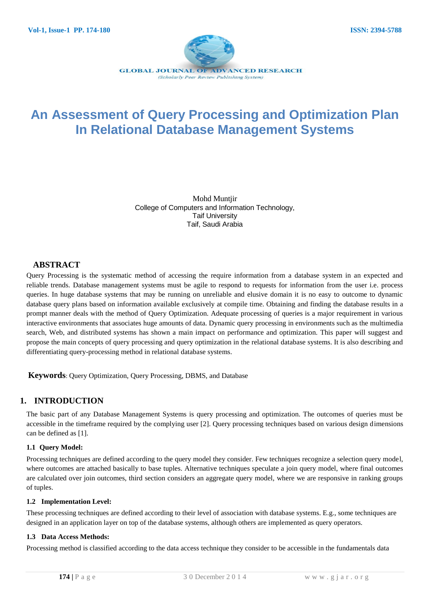

# **An Assessment of Query Processing and Optimization Plan In Relational Database Management Systems**

Mohd Muntjir College of Computers and Information Technology, Taif University Taif, Saudi Arabia

## **ABSTRACT**

Query Processing is the systematic method of accessing the require information from a database system in an expected and reliable trends. Database management systems must be agile to respond to requests for information from the user i.e. process queries. In huge database systems that may be running on unreliable and elusive domain it is no easy to outcome to dynamic database query plans based on information available exclusively at compile time. Obtaining and finding the database results in a prompt manner deals with the method of Query Optimization. Adequate processing of queries is a major requirement in various interactive environments that associates huge amounts of data. Dynamic query processing in environments such as the multimedia search, Web, and distributed systems has shown a main impact on performance and optimization. This paper will suggest and propose the main concepts of query processing and query optimization in the relational database systems. It is also describing and differentiating query-processing method in relational database systems.

**Keywords**: Query Optimization, Query Processing, DBMS, and Database

# **1. INTRODUCTION**

The basic part of any Database Management Systems is query processing and optimization. The outcomes of queries must be accessible in the timeframe required by the complying user [2]. Query processing techniques based on various design dimensions can be defined as [1].

### **1.1 Query Model:**

Processing techniques are defined according to the query model they consider. Few techniques recognize a selection query model, where outcomes are attached basically to base tuples. Alternative techniques speculate a join query model, where final outcomes are calculated over join outcomes, third section considers an aggregate query model, where we are responsive in ranking groups of tuples.

### **1.2 Implementation Level:**

These processing techniques are defined according to their level of association with database systems. E.g., some techniques are designed in an application layer on top of the database systems, although others are implemented as query operators.

## **1.3 Data Access Methods:**

Processing method is classified according to the data access technique they consider to be accessible in the fundamentals data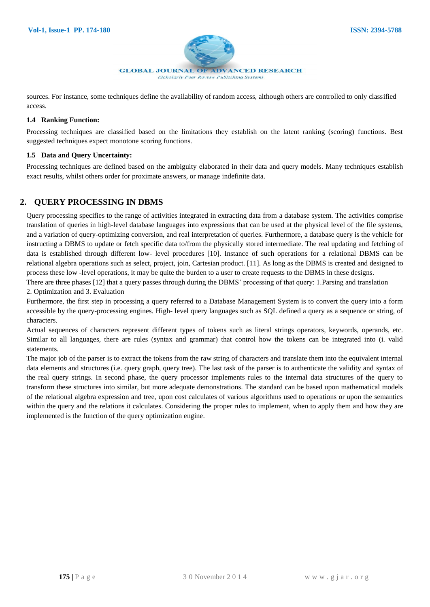

sources. For instance, some techniques define the availability of random access, although others are controlled to only classified access.

#### **1.4 Ranking Function:**

Processing techniques are classified based on the limitations they establish on the latent ranking (scoring) functions. Best suggested techniques expect monotone scoring functions.

### **1.5 Data and Query Uncertainty:**

Processing techniques are defined based on the ambiguity elaborated in their data and query models. Many techniques establish exact results, whilst others order for proximate answers, or manage indefinite data.

# **2. QUERY PROCESSING IN DBMS**

Query processing specifies to the range of activities integrated in extracting data from a database system. The activities comprise translation of queries in high-level database languages into expressions that can be used at the physical level of the file systems, and a variation of query-optimizing conversion, and real interpretation of queries. Furthermore, a database query is the vehicle for instructing a DBMS to update or fetch specific data to/from the physically stored intermediate. The real updating and fetching of data is established through different low- level procedures [10]. Instance of such operations for a relational DBMS can be relational algebra operations such as select, project, join, Cartesian product. [11]. As long as the DBMS is created and designed to process these low -level operations, it may be quite the burden to a user to create requests to the DBMS in these designs.

There are three phases [12] that a query passes through during the DBMS' processing of that query: 1.Parsing and translation 2. Optimization and 3. Evaluation

Furthermore, the first step in processing a query referred to a Database Management System is to convert the query into a form accessible by the query-processing engines. High- level query languages such as SQL defined a query as a sequence or string, of characters.

Actual sequences of characters represent different types of tokens such as literal strings operators, keywords, operands, etc. Similar to all languages, there are rules (syntax and grammar) that control how the tokens can be integrated into (i. valid statements.

The major job of the parser is to extract the tokens from the raw string of characters and translate them into the equivalent internal data elements and structures (i.e. query graph, query tree). The last task of the parser is to authenticate the validity and syntax of the real query strings. In second phase, the query processor implements rules to the internal data structures of the query to transform these structures into similar, but more adequate demonstrations. The standard can be based upon mathematical models of the relational algebra expression and tree, upon cost calculates of various algorithms used to operations or upon the semantics within the query and the relations it calculates. Considering the proper rules to implement, when to apply them and how they are implemented is the function of the query optimization engine.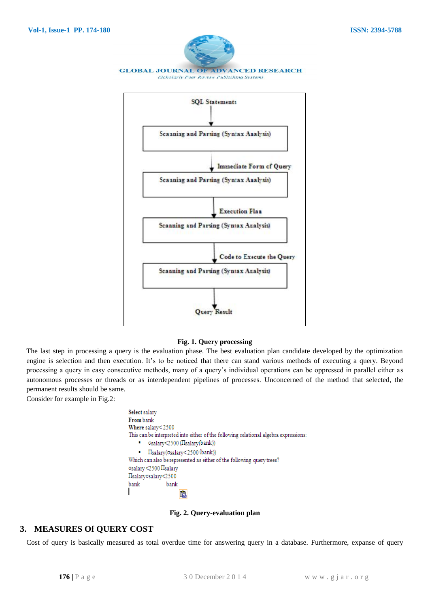

#### **Fig. 1. Query processing**

The last step in processing a query is the evaluation phase. The best evaluation plan candidate developed by the optimization engine is selection and then execution. It's to be noticed that there can stand various methods of executing a query. Beyond processing a query in easy consecutive methods, many of a query's individual operations can be oppressed in parallel either as autonomous processes or threads or as interdependent pipelines of processes. Unconcerned of the method that selected, the permanent results should be same.

Consider for example in Fig.2:

Select salary From bank Where salary<2500 This can be interpreted into either of the following relational algebra expressions: ■ osalary<2500 (IIsalary(bank))  $\blacksquare$   $\blacksquare$   $\blacksquare$   $\blacksquare$   $\blacksquare$   $\blacksquare$   $\blacksquare$   $\blacksquare$   $\blacksquare$   $\blacksquare$   $\blacksquare$   $\blacksquare$   $\blacksquare$   $\blacksquare$   $\blacksquare$   $\blacksquare$   $\blacksquare$   $\blacksquare$   $\blacksquare$   $\blacksquare$   $\blacksquare$   $\blacksquare$   $\blacksquare$   $\blacksquare$   $\blacksquare$   $\blacksquare$   $\blacksquare$   $\blacksquare$   $\blacksquare$   $\blacksquare$   $\blacksquare$   $\blacks$ Which can also be represented as either of the following query trees? σsalary <2500 Πsalary Πsalaryσsalary<2500 bank bank 白

#### **Fig. 2. Query-evaluation plan**

## **3. MEASURES Of QUERY COST**

Cost of query is basically measured as total overdue time for answering query in a database. Furthermore, expanse of query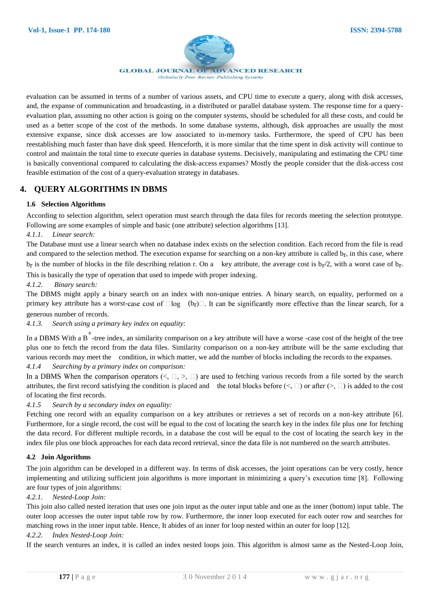

**GLOBAL JOURNAL OF ADVANCED RESEARCH** 

(Scholarly Peer Review Publishing System)

evaluation can be assumed in terms of a number of various assets, and CPU time to execute a query, along with disk accesses, and, the expanse of communication and broadcasting, in a distributed or parallel database system. The response time for a queryevaluation plan, assuming no other action is going on the computer systems, should be scheduled for all these costs, and could be used as a better scope of the cost of the methods. In some database systems, although, disk approaches are usually the most extensive expanse, since disk accesses are low associated to in-memory tasks. Furthermore, the speed of CPU has been reestablishing much faster than have disk speed. Henceforth, it is more similar that the time spent in disk activity will continue to control and maintain the total time to execute queries in database systems. Decisively, manipulating and estimating the CPU time is basically conventional compared to calculating the disk-access expanses? Mostly the people consider that the disk-access cost feasible estimation of the cost of a query-evaluation strategy in databases.

# **4. QUERY ALGORITHMS IN DBMS**

## **1.6 Selection Algorithms**

According to selection algorithm, select operation must search through the data files for records meeting the selection prototype. Following are some examples of simple and basic (one attribute) selection algorithms [13].

### *4.1.1. Linear search:*

The Database must use a linear search when no database index exists on the selection condition. Each record from the file is read and compared to the selection method. The execution expanse for searching on a non-key attribute is called b<sub>r</sub>, in this case, where  $b<sub>r</sub>$  is the number of blocks in the file describing relation r. On a key attribute, the average cost is  $b<sub>r</sub>/2$ , with a worst case of  $b<sub>r</sub>$ . This is basically the type of operation that used to impede with proper indexing.

*4.1.2. Binary search:*

The DBMS might apply a binary search on an index with non-unique entries. A binary search, on equality, performed on a primary key attribute has a worst-case cost of  $\Box \log$  (b<sub>r</sub>) $\Box$ . It can be significantly more effective than the linear search, for a generous number of records.

*4.1.3. Search using a primary key index on equality:*

In a DBMS With a B<sup>+</sup>-tree index, an similarity comparison on a key attribute will have a worse -case cost of the height of the tree plus one to fetch the record from the data files. Similarity comparison on a non-key attribute will be the same excluding that various records may meet the condition, in which matter, we add the number of blocks including the records to the expanses. *4.1.4 Searching by a primary index on comparison:*

In a DBMS When the comparison operators  $(<, \square, >, \square)$  are used to fetching various records from a file sorted by the search attributes, the first record satisfying the condition is placed and the total blocks before  $(\leq, \square)$  or after  $(\geq, \square)$  is added to the cost of locating the first records.

## *4.1.5 Search by a secondary index on equality:*

Fetching one record with an equality comparison on a key attributes or retrieves a set of records on a non-key attribute [6]. Furthermore, for a single record, the cost will be equal to the cost of locating the search key in the index file plus one for fetching the data record. For different multiple records, in a database the cost will be equal to the cost of locating the search key in the index file plus one block approaches for each data record retrieval, since the data file is not numbered on the search attributes.

### **4.2 Join Algorithms**

The join algorithm can be developed in a different way. In terms of disk accesses, the joint operations can be very costly, hence implementing and utilizing sufficient join algorithms is more important in minimizing a query's execution time [8]. Following are four types of join algorithms:

### *4.2.1. Nested-Loop Join:*

This join also called nested iteration that uses one join input as the outer input table and one as the inner (bottom) input table. The outer loop accesses the outer input table row by row. Furthermore, the inner loop executed for each outer row and searches for matching rows in the inner input table. Hence, It abides of an inner for loop nested within an outer for loop [12].

### *4.2.2. Index Nested-Loop Join:*

If the search ventures an index, it is called an index nested loops join. This algorithm is almost same as the Nested-Loop Join,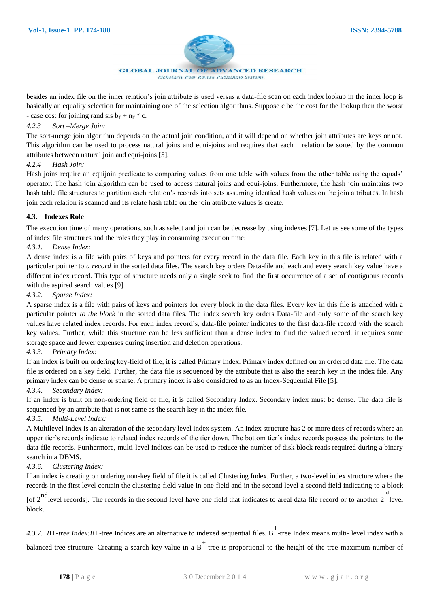

**GLOBAL JOURNAL OF ADVANCED RESEARCH** (Scholarly Peer Review Publishing System)

besides an index file on the inner relation's join attribute is used versus a data-file scan on each index lookup in the inner loop is basically an equality selection for maintaining one of the selection algorithms. Suppose c be the cost for the lookup then the worst - case cost for joining rand sis  $b_r + n_r * c$ .

#### *4.2.3 Sort –Merge Join:*

The sort-merge join algorithm depends on the actual join condition, and it will depend on whether join attributes are keys or not. This algorithm can be used to process natural joins and equi-joins and requires that each relation be sorted by the common attributes between natural join and equi-joins [5].

#### *4.2.4 Hash Join:*

Hash joins require an [equijoin](http://en.wikipedia.org/wiki/Equijoin) predicate to comparing values from one table with values from the other table using the equals' operator. The hash join algorithm can be used to access natural joins and equi-joins. Furthermore, the hash join maintains two hash table file structures to partition each relation's records into sets assuming identical hash values on the join attributes. In hash join each relation is scanned and its relate hash table on the join attribute values is create.

#### **4.3. Indexes Role**

The execution time of many operations, such as select and join can be decrease by using indexes [7]. Let us see some of the types of index file structures and the roles they play in consuming execution time:

### *4.3.1. Dense Index:*

A dense index is a [file](http://en.wikipedia.org/wiki/Computer_file) with pairs of keys and [pointers](http://en.wikipedia.org/wiki/Pointer_%28computer_programming%29) for every [record](http://en.wikipedia.org/wiki/Record_%28computer_science%29) in the data file. Each key in this file is related with a particular pointer to *a record* in the sorted data files. The search key orders Data-file and each and every search key value have a different index record. This type of structure needs only a single seek to find the first occurrence of a set of contiguous records with the aspired search values [9].

#### *4.3.2. Sparse Index:*

A sparse index is a file with pairs of keys and pointers for every [block](http://en.wikipedia.org/wiki/Block_%28data_storage%29) in the data files. Every key in this file is attached with a particular pointer *to the block* in the sorted data files. The index search key orders Data-file and only some of the search key values have related index records. For each index record's, data-file pointer indicates to the first data-file record with the search key values. Further, while this structure can be less sufficient than a dense index to find the valued record, it requires some storage space and fewer expenses during insertion and deletion operations.

### *4.3.3. Primary Index:*

If an index is built on ordering key-field of file, it is called Primary Index. Primary index defined on an ordered data file. The data file is ordered on a key field. Further, the data file is sequenced by the attribute that is also the search key in the index file. Any primary index can be dense or sparse. A primary index is also considered to as an Index-Sequential File [5].

#### *4.3.4. Secondary Index:*

If an index is built on non-ordering field of file, it is called Secondary Index. Secondary index must be dense. The data file is sequenced by an attribute that is not same as the search key in the index file.

### *4.3.5. Multi-Level Index:*

A Multilevel Index is an alteration of the secondary level index system. An index structure has 2 or more tiers of records where an upper tier's records indicate to related index records of the tier down. The bottom tier's index records possess the pointers to the data-file records. Furthermore, multi-level indices can be used to reduce the number of disk block reads required during a binary search in a DBMS.

#### *4.3.6. Clustering Index:*

If an index is creating on ordering non-key field of file it is called Clustering Index. Further, a two-level index structure where the records in the first level contain the clustering field value in one field and in the second level a second field indicating to a block

Independent of 2<sup>nd</sup> level records]. The records in the second level have one field that indicates to areal data file record or to another 2 level block.

*4.3.7. B*+-*tree Index:B*+-tree Indices are an alternative to indexed sequential files. B<sup>+</sup>-tree Index means multi- level index with a balanced-tree structure. Creating a search key value in a  $B^+$ -tree is proportional to the height of the tree maximum number of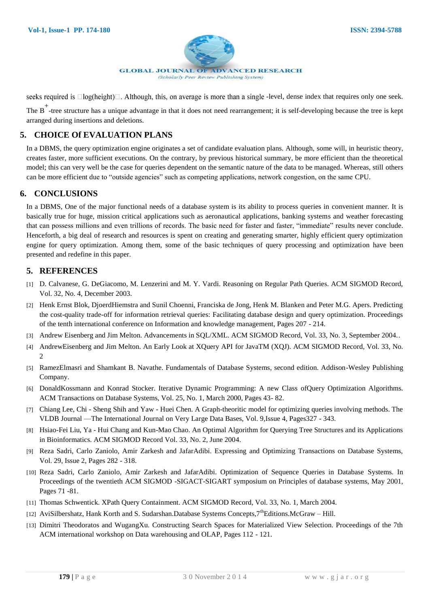

seeks required is  $\Box$ log(height) $\Box$ . Although, this, on average is more than a single -level, dense index that requires only one seek.

The B<sup>+</sup>-tree structure has a unique advantage in that it does not need rearrangement; it is self-developing because the tree is kept arranged during insertions and deletions.

# **5. CHOICE Of EVALUATION PLANS**

In a DBMS, the query optimization engine originates a set of candidate evaluation plans. Although, some will, in heuristic theory, creates faster, more sufficient executions. On the contrary, by previous historical summary, be more efficient than the theoretical model; this can very well be the case for queries dependent on the semantic nature of the data to be managed. Whereas, still others can be more efficient due to "outside agencies" such as competing applications, network congestion, on the same CPU.

## **6. CONCLUSIONS**

In a DBMS, One of the major functional needs of a database system is its ability to process queries in convenient manner. It is basically true for huge, mission critical applications such as aeronautical applications, banking systems and weather forecasting that can possess millions and even trillions of records. The basic need for faster and faster, "immediate" results never conclude. Henceforth, a big deal of research and resources is spent on creating and generating smarter, highly efficient query optimization engine for query optimization. Among them, some of the basic techniques of query processing and optimization have been presented and redefine in this paper.

## **5. REFERENCES**

- [1] D. Calvanese, G. DeGiacomo, M. Lenzerini and M. Y. Vardi. Reasoning on Regular Path Queries. ACM SIGMOD Record, Vol. 32, No. 4, December 2003.
- [2] Henk Ernst Blok, DjoerdHiemstra and Sunil Choenni, Franciska de Jong, Henk M. Blanken and Peter M.G. Apers. Predicting the cost-quality trade-off for information retrieval queries: Facilitating database design and query optimization. Proceedings of the tenth international conference on Information and knowledge management, Pages 207 - 214.
- [3] Andrew Eisenberg and Jim Melton. Advancements in SQL/XML. ACM SIGMOD Record, Vol. 33, No. 3, September 2004..
- [4] AndrewEisenberg and Jim Melton. An Early Look at XQuery API for JavaTM (XQJ). ACM SIGMOD Record, Vol. 33, No. 2
- [5] RamezElmasri and Shamkant B. Navathe. Fundamentals of Database Systems, second edition. Addison-Wesley Publishing Company.
- [6] DonaldKossmann and Konrad Stocker. Iterative Dynamic Programming: A new Class ofQuery Optimization Algorithms. ACM Transactions on Database Systems, Vol. 25, No. 1, March 2000, Pages 43- 82.
- [7] Chiang Lee, Chi Sheng Shih and Yaw Huei Chen. A Graph-theoritic model for optimizing queries involving methods. The VLDB Journal —The International Journal on Very Large Data Bases, Vol. 9,Issue 4, Pages327 - 343.
- [8] Hsiao-Fei Liu, Ya Hui Chang and Kun-Mao Chao. An Optimal Algorithm for Querying Tree Structures and its Applications in Bioinformatics. ACM SIGMOD Record Vol. 33, No. 2, June 2004.
- [9] Reza Sadri, Carlo Zaniolo, Amir Zarkesh and JafarAdibi. Expressing and Optimizing Transactions on Database Systems, Vol. 29, Issue 2, Pages 282 - 318.
- [10] Reza Sadri, Carlo Zaniolo, Amir Zarkesh and JafarAdibi. Optimization of Sequence Queries in Database Systems. In Proceedings of the twentieth ACM SIGMOD -SIGACT-SIGART symposium on Principles of database systems, May 2001, Pages 71 -81.
- [11] Thomas Schwentick. XPath Query Containment. ACM SIGMOD Record, Vol. 33, No. 1, March 2004.
- [12] AviSilbershatz, Hank Korth and S. Sudarshan.Database Systems Concepts,  $7^{th}$ Editions.McGraw Hill.
- [13] Dimitri Theodoratos and WugangXu. Constructing Search Spaces for Materialized View Selection. Proceedings of the 7th ACM international workshop on Data warehousing and OLAP, Pages 112 - 121.